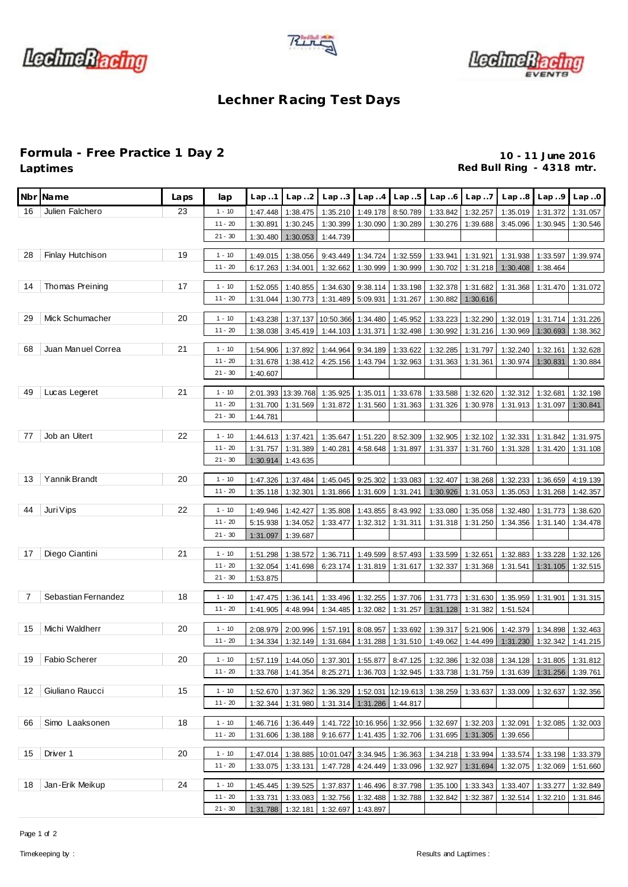





## **Lechner Racing Test Days**

**Formula - Free Practice 1 Day 2 10 - 11 June 2016** Red Bull Ring - 4318 mtr.

|    | Nbr Name            | Laps | lap       | Lap.1    | Lap.2              | Lap.3                                                                                     | Lap.4                          | Lap.5             | Lap.6                                         | Lap.7             | Lap.8    | Lap.9                          | Lap.0    |
|----|---------------------|------|-----------|----------|--------------------|-------------------------------------------------------------------------------------------|--------------------------------|-------------------|-----------------------------------------------|-------------------|----------|--------------------------------|----------|
| 16 | Julien Falchero     | 23   | $1 - 10$  | 1:47.448 | 1:38.475           | 1:35.210                                                                                  | 1:49.178                       | 8:50.789          | 1:33.842                                      | 1:32.257          | 1:35.019 | 1:31.372                       | 1:31.057 |
|    |                     |      | $11 - 20$ | 1:30.891 | 1:30.245           | 1:30.399                                                                                  | 1:30.090                       | 1:30.289          | 1:30.276                                      | 1:39.688          | 3:45.096 | 1:30.945                       | 1:30.546 |
|    |                     |      | $21 - 30$ | 1:30.480 | 1:30.053           | 1:44.739                                                                                  |                                |                   |                                               |                   |          |                                |          |
| 28 | Finlay Hutchison    | 19   | $1 - 10$  | 1:49.015 | 1:38.056           | 9:43.449                                                                                  | 1:34.724                       | 1:32.559          | 1:33.941                                      | 1:31.921          | 1:31.938 | 1:33.597                       | 1:39.974 |
|    |                     |      | $11 - 20$ | 6:17.263 | 1:34.001           | 1:32.662                                                                                  | 1:30.999                       | 1:30.999          | 1:30.702                                      | 1:31.218          | 1:30.408 | 1:38.464                       |          |
|    |                     |      |           |          |                    |                                                                                           |                                |                   |                                               |                   |          |                                |          |
| 14 | Thomas Preining     | 17   | $1 - 10$  | 1:52.055 | 1:40.855           | 1:34.630                                                                                  | 9:38.114                       | 1:33.198          | 1:32.378                                      | 1:31.682          | 1:31.368 | 1:31.470                       | 1:31.072 |
|    |                     |      | $11 - 20$ | 1:31.044 | 1:30.773           | 1:31.489                                                                                  | 5:09.931                       | 1:31.267          | 1:30.882                                      | 1:30.616          |          |                                |          |
| 29 | Mick Schumacher     | 20   | $1 - 10$  | 1:43.238 | 1:37.137           | 10:50.366                                                                                 | 1:34.480                       | 1:45.952          | 1:33.223                                      | 1:32.290          |          | 1:32.019 1:31.714              | 1:31.226 |
|    |                     |      | $11 - 20$ | 1:38.038 | 3:45.419           | 1:44.103                                                                                  | 1:31.371                       | 1:32.498          | 1:30.992                                      | 1:31.216          | 1:30.969 | 1:30.693                       | 1:38.362 |
|    |                     |      |           |          |                    |                                                                                           |                                |                   |                                               |                   |          |                                |          |
| 68 | Juan Manuel Correa  | 21   | $1 - 10$  | 1:54.906 | 1:37.892           | 1:44.964                                                                                  | 9:34.189                       | 1:33.622          | 1:32.285                                      | 1:31.797          | 1:32.240 | 1:32.161                       | 1:32.628 |
|    |                     |      | $11 - 20$ | 1:31.678 | 1:38.412           | 4:25.156                                                                                  | 1:43.794                       | 1:32.963          | 1:31.363                                      | 1:31.361          | 1:30.974 | 1:30.831                       | 1:30.884 |
|    |                     |      | $21 - 30$ | 1:40.607 |                    |                                                                                           |                                |                   |                                               |                   |          |                                |          |
| 49 | Lucas Legeret       | 21   | $1 - 10$  |          | 2:01.393 13:39.768 | 1:35.925                                                                                  | 1:35.011                       | 1:33.678          | 1:33.588                                      | 1:32.620          | 1:32.312 | 1:32.681                       | 1:32.198 |
|    |                     |      | $11 - 20$ | 1:31.700 | 1:31.569           | 1:31.872                                                                                  | 1:31.560                       | 1:31.363          | 1:31.326                                      | 1:30.978          |          | 1:31.913 1:31.097              | 1:30.841 |
|    |                     |      | $21 - 30$ | 1:44.781 |                    |                                                                                           |                                |                   |                                               |                   |          |                                |          |
|    |                     |      |           |          |                    |                                                                                           |                                |                   |                                               |                   |          |                                |          |
| 77 | Job an Uitert       | 22   | $1 - 10$  | 1:44.613 | 1:37.421           | 1:35.647                                                                                  | 1:51.220                       | 8:52.309          | 1:32.905                                      | 1:32.102          | 1:32.331 | 1:31.842                       | 1:31.975 |
|    |                     |      | $11 - 20$ | 1:31.757 | 1:31.389           | 1:40.281                                                                                  | 4:58.648                       | 1:31.897          | 1:31.337                                      | 1:31.760          | 1:31.328 | 1:31.420                       | 1:31.108 |
|    |                     |      | $21 - 30$ | 1:30.914 | 1:43.635           |                                                                                           |                                |                   |                                               |                   |          |                                |          |
| 13 | Yannik Brandt       | 20   | $1 - 10$  | 1:47.326 | 1:37.484           | 1:45.045                                                                                  | 9:25.302                       | 1:33.083          | 1:32.407                                      | 1:38.268          | 1:32.233 | 1:36.659                       | 4:19.139 |
|    |                     |      | $11 - 20$ | 1:35.118 | 1:32.301           | 1:31.866                                                                                  | 1:31.609                       | 1:31.241          | 1:30.926                                      | 1:31.053          | 1:35.053 | 1:31.268                       | 1:42.357 |
|    |                     |      |           |          |                    |                                                                                           |                                |                   |                                               |                   |          |                                |          |
| 44 | Juri Vips           | 22   | $1 - 10$  | 1:49.946 | 1:42.427           | 1:35.808                                                                                  | 1:43.855                       | 8:43.992          | 1:33.080                                      | 1:35.058          | 1:32.480 | 1:31.773                       | 1:38.620 |
|    |                     |      | $11 - 20$ | 5:15.938 | 1:34.052           | 1:33.477                                                                                  | 1:32.312                       | 1:31.311          | 1:31.318                                      | 1:31.250          | 1:34.356 | 1:31.140                       | 1:34.478 |
|    |                     |      | $21 - 30$ | 1:31.097 | 1:39.687           |                                                                                           |                                |                   |                                               |                   |          |                                |          |
| 17 | Diego Ciantini      | 21   | $1 - 10$  | 1:51.298 | 1:38.572           | 1:36.711                                                                                  | 1:49.599                       | 8:57.493          | 1:33.599                                      | 1:32.651          | 1:32.883 | 1:33.228                       | 1:32.126 |
|    |                     |      | $11 - 20$ | 1:32.054 | 1:41.698           | 6:23.174                                                                                  | 1:31.819                       | 1:31.617          | 1:32.337                                      | 1:31.368          | 1:31.541 | 1:31.105                       | 1:32.515 |
|    |                     |      | $21 - 30$ | 1:53.875 |                    |                                                                                           |                                |                   |                                               |                   |          |                                |          |
| 7  | Sebastian Fernandez | 18   | $1 - 10$  | 1:47.475 | 1:36.141           | 1:33.496                                                                                  | 1:32.255                       | 1:37.706          |                                               | 1:31.773 1:31.630 | 1:35.959 | 1:31.901                       | 1:31.315 |
|    |                     |      | $11 - 20$ | 1:41.905 | 4:48.994           | 1:34.485                                                                                  | 1:32.082                       | 1:31.257          | 1:31.128                                      | 1:31.382          | 1:51.524 |                                |          |
|    |                     |      |           |          |                    |                                                                                           |                                |                   |                                               |                   |          |                                |          |
| 15 | Michi Waldherr      | 20   | $1 - 10$  | 2:08.979 | 2:00.996           | 1:57.191                                                                                  | 8:08.957                       | 1:33.692          | 1:39.317                                      | 5:21.906          | 1:42.379 | 1:34.898                       | 1:32.463 |
|    |                     |      | $11 - 20$ | 1:34.334 | 1:32.149           | 1:31.684                                                                                  | 1:31.288                       | 1:31.510          | 1:49.062                                      | 1:44.499          | 1:31.230 | 1:32.342                       | 1:41.215 |
|    | 19 Fabio Scherer    | 20   | $1 - 10$  |          |                    |                                                                                           |                                |                   |                                               |                   |          |                                |          |
|    |                     |      | $11 - 20$ | 1:33.768 | 1:41.354           | 1:57.119 1:44.050 1:37.301 1:55.877 8:47.125 1:32.386 1:32.038 1:34.128 1:31.805 1:31.812 |                                |                   | 1:36.703   1:32.945   1:33.738   1:31.759     |                   |          | 1:31.639 1:31.256              |          |
|    |                     |      |           |          |                    | 8:25.271                                                                                  |                                |                   |                                               |                   |          |                                | 1:39.761 |
| 12 | Giuliano Raucci     | 15   | $1 - 10$  |          | 1:52.670 1:37.362  |                                                                                           | 1:36.329 1:52.031 12:19.613    |                   | 1:38.259                                      | 1:33.637          | 1:33.009 | 1:32.637                       | 1:32.356 |
|    |                     |      | $11 - 20$ |          | 1:32.344 1:31.980  |                                                                                           | 1:31.314   1:31.286   1:44.817 |                   |                                               |                   |          |                                |          |
|    |                     |      |           |          |                    |                                                                                           |                                |                   |                                               |                   |          |                                |          |
| 66 | Simo Laaksonen      | 18   | $1 - 10$  |          | 1:46.716 1:36.449  |                                                                                           |                                |                   | 1:41.722 10:16.956 1:32.956 1:32.697 1:32.203 |                   |          | 1:32.091 1:32.085              | 1:32.003 |
|    |                     |      | $11 - 20$ | 1:31.606 | 1:38.188           | 9:16.677                                                                                  |                                | 1:41.435 1:32.706 | 1:31.695                                      | 1:31.305          | 1:39.656 |                                |          |
| 15 | Driver 1            | 20   | $1 - 10$  |          | 1:47.014 1:38.885  | 10:01.047 3:34.945 1:36.363                                                               |                                |                   |                                               | 1:34.218 1:33.994 |          | 1:33.574   1:33.198   1:33.379 |          |
|    |                     |      | $11 - 20$ | 1:33.075 | 1:33.131           |                                                                                           | 1:47.728 4:24.449 1:33.096     |                   | 1:32.927                                      | 1:31.694          |          | 1:32.075 1:32.069 1:51.660     |          |
|    |                     |      |           |          |                    |                                                                                           |                                |                   |                                               |                   |          |                                |          |
| 18 | Jan-Erik Meikup     | 24   | $1 - 10$  | 1:45.445 | 1:39.525           | 1:37.837                                                                                  | 1:46.496                       | 8:37.798          |                                               | 1:35.100 1:33.343 |          | 1:33.407 1:33.277              | 1:32.849 |
|    |                     |      | $11 - 20$ |          | 1:33.731 1:33.083  |                                                                                           | 1:32.756 1:32.488 1:32.788     |                   |                                               | 1:32.842 1:32.387 |          | 1:32.514 1:32.210              | 1:31.846 |
|    |                     |      | $21 - 30$ |          | 1:31.788 1:32.181  | 1:32.697 1:43.897                                                                         |                                |                   |                                               |                   |          |                                |          |